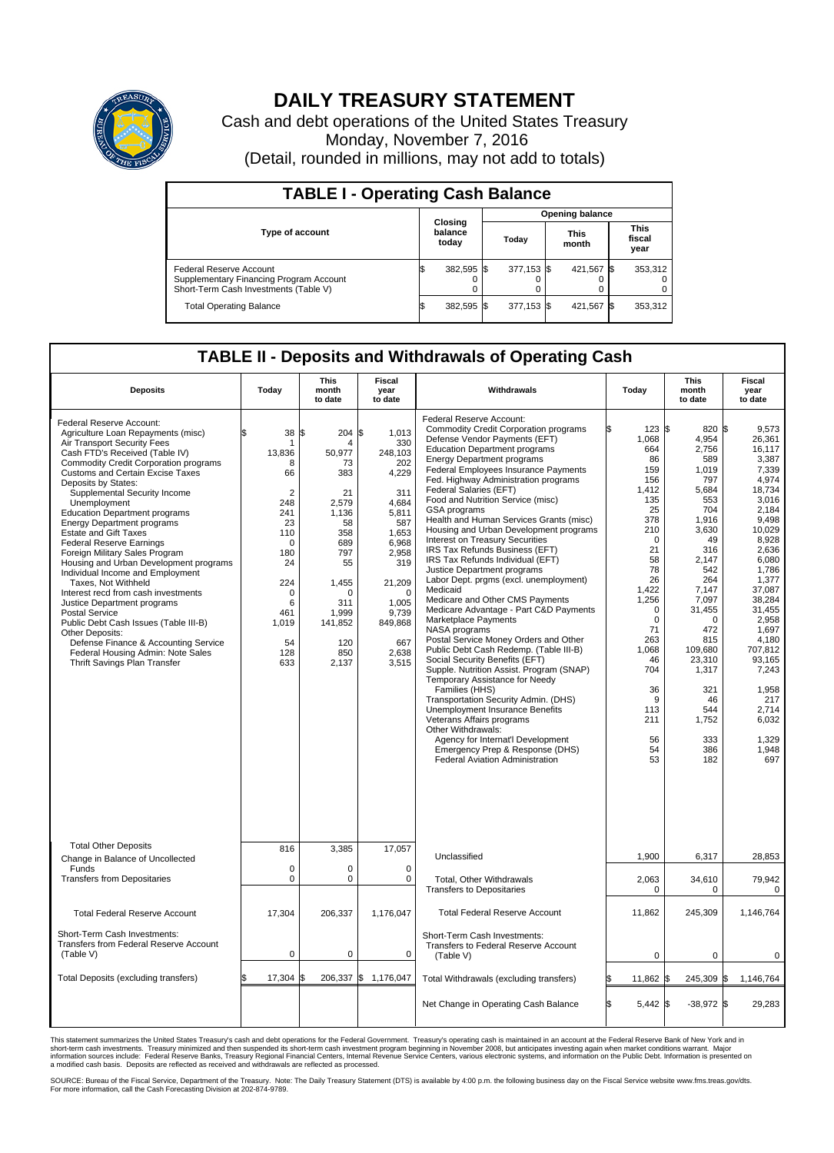

## **DAILY TREASURY STATEMENT**

Cash and debt operations of the United States Treasury Monday, November 7, 2016 (Detail, rounded in millions, may not add to totals)

| <b>TABLE I - Operating Cash Balance</b>                                                                     |    |                             |  |                        |  |                      |  |                               |  |  |  |
|-------------------------------------------------------------------------------------------------------------|----|-----------------------------|--|------------------------|--|----------------------|--|-------------------------------|--|--|--|
|                                                                                                             |    |                             |  | <b>Opening balance</b> |  |                      |  |                               |  |  |  |
| <b>Type of account</b>                                                                                      |    | Closing<br>balance<br>today |  | Today                  |  | <b>This</b><br>month |  | <b>This</b><br>fiscal<br>year |  |  |  |
| Federal Reserve Account<br>Supplementary Financing Program Account<br>Short-Term Cash Investments (Table V) |    | 382,595 \$                  |  | 377,153 \$             |  | 421.567 \$           |  | 353,312                       |  |  |  |
| <b>Total Operating Balance</b>                                                                              | IЭ | 382,595 \$                  |  | 377,153 \$             |  | 421,567 \$           |  | 353,312                       |  |  |  |

## **TABLE II - Deposits and Withdrawals of Operating Cash**

| <b>Deposits</b>                                                                                                                                                                                                                                                                                                                                                                                                                                                                                                                                                                                                                                                                                                                                                                                                                                                  | Today                                                                                                                                                                      | <b>This</b><br>month<br>to date                                                                                                                                  | <b>Fiscal</b><br>year<br>to date                                                                                                                                                            | Withdrawals                                                                                                                                                                                                                                                                                                                                                                                                                                                                                                                                                                                                                                                                                                                                                                                                                                                                                                                                                                                                                                                                                                                                                                                                                                | Today                                                                                                                                                                                                                                                   | <b>This</b><br>month<br>to date                                                                                                                                                                                                                             | Fiscal<br>year<br>to date                                                                                                                                                                                                                                                                          |
|------------------------------------------------------------------------------------------------------------------------------------------------------------------------------------------------------------------------------------------------------------------------------------------------------------------------------------------------------------------------------------------------------------------------------------------------------------------------------------------------------------------------------------------------------------------------------------------------------------------------------------------------------------------------------------------------------------------------------------------------------------------------------------------------------------------------------------------------------------------|----------------------------------------------------------------------------------------------------------------------------------------------------------------------------|------------------------------------------------------------------------------------------------------------------------------------------------------------------|---------------------------------------------------------------------------------------------------------------------------------------------------------------------------------------------|--------------------------------------------------------------------------------------------------------------------------------------------------------------------------------------------------------------------------------------------------------------------------------------------------------------------------------------------------------------------------------------------------------------------------------------------------------------------------------------------------------------------------------------------------------------------------------------------------------------------------------------------------------------------------------------------------------------------------------------------------------------------------------------------------------------------------------------------------------------------------------------------------------------------------------------------------------------------------------------------------------------------------------------------------------------------------------------------------------------------------------------------------------------------------------------------------------------------------------------------|---------------------------------------------------------------------------------------------------------------------------------------------------------------------------------------------------------------------------------------------------------|-------------------------------------------------------------------------------------------------------------------------------------------------------------------------------------------------------------------------------------------------------------|----------------------------------------------------------------------------------------------------------------------------------------------------------------------------------------------------------------------------------------------------------------------------------------------------|
| Federal Reserve Account:<br>Agriculture Loan Repayments (misc)<br>Air Transport Security Fees<br>Cash FTD's Received (Table IV)<br><b>Commodity Credit Corporation programs</b><br><b>Customs and Certain Excise Taxes</b><br>Deposits by States:<br>Supplemental Security Income<br>Unemployment<br><b>Education Department programs</b><br><b>Energy Department programs</b><br><b>Estate and Gift Taxes</b><br><b>Federal Reserve Earnings</b><br>Foreign Military Sales Program<br>Housing and Urban Development programs<br>Individual Income and Employment<br>Taxes, Not Withheld<br>Interest recd from cash investments<br>Justice Department programs<br><b>Postal Service</b><br>Public Debt Cash Issues (Table III-B)<br>Other Deposits:<br>Defense Finance & Accounting Service<br>Federal Housing Admin: Note Sales<br>Thrift Savings Plan Transfer | \$<br>38<br>1<br>13,836<br>8<br>66<br>$\overline{2}$<br>248<br>241<br>23<br>110<br>$\mathbf 0$<br>180<br>24<br>224<br>$\mathbf 0$<br>6<br>461<br>1,019<br>54<br>128<br>633 | \$<br>204<br>50,977<br>73<br>383<br>21<br>2,579<br>1,136<br>58<br>358<br>689<br>797<br>55<br>1,455<br>$\Omega$<br>311<br>1,999<br>141,852<br>120<br>850<br>2,137 | \$<br>1,013<br>330<br>248,103<br>202<br>4,229<br>311<br>4.684<br>5,811<br>587<br>1.653<br>6,968<br>2,958<br>319<br>21,209<br>$\Omega$<br>1.005<br>9,739<br>849,868<br>667<br>2,638<br>3,515 | Federal Reserve Account:<br><b>Commodity Credit Corporation programs</b><br>Defense Vendor Payments (EFT)<br><b>Education Department programs</b><br><b>Energy Department programs</b><br><b>Federal Employees Insurance Payments</b><br>Fed. Highway Administration programs<br>Federal Salaries (EFT)<br>Food and Nutrition Service (misc)<br>GSA programs<br>Health and Human Services Grants (misc)<br>Housing and Urban Development programs<br>Interest on Treasury Securities<br>IRS Tax Refunds Business (EFT)<br>IRS Tax Refunds Individual (EFT)<br>Justice Department programs<br>Labor Dept. prgms (excl. unemployment)<br>Medicaid<br>Medicare and Other CMS Payments<br>Medicare Advantage - Part C&D Payments<br>Marketplace Payments<br>NASA programs<br>Postal Service Money Orders and Other<br>Public Debt Cash Redemp. (Table III-B)<br>Social Security Benefits (EFT)<br>Supple. Nutrition Assist. Program (SNAP)<br>Temporary Assistance for Needy<br>Families (HHS)<br>Transportation Security Admin. (DHS)<br>Unemployment Insurance Benefits<br>Veterans Affairs programs<br>Other Withdrawals:<br>Agency for Internat'l Development<br>Emergency Prep & Response (DHS)<br><b>Federal Aviation Administration</b> | ß.<br>123S<br>1,068<br>664<br>86<br>159<br>156<br>1.412<br>135<br>25<br>378<br>210<br>$\mathbf 0$<br>21<br>58<br>78<br>26<br>1,422<br>1,256<br>$\mathbf 0$<br>$\mathbf 0$<br>71<br>263<br>1.068<br>46<br>704<br>36<br>9<br>113<br>211<br>56<br>54<br>53 | 820 \$<br>4,954<br>2,756<br>589<br>1,019<br>797<br>5,684<br>553<br>704<br>1,916<br>3,630<br>49<br>316<br>2,147<br>542<br>264<br>7,147<br>7.097<br>31,455<br>U<br>472<br>815<br>109.680<br>23,310<br>1,317<br>321<br>46<br>544<br>1,752<br>333<br>386<br>182 | 9,573<br>26.361<br>16,117<br>3,387<br>7.339<br>4,974<br>18.734<br>3,016<br>2.184<br>9,498<br>10,029<br>8,928<br>2,636<br>6,080<br>1,786<br>1,377<br>37,087<br>38.284<br>31.455<br>2,958<br>1,697<br>4.180<br>707.812<br>93,165<br>7,243<br>1,958<br>217<br>2.714<br>6,032<br>1,329<br>1,948<br>697 |
| <b>Total Other Deposits</b><br>Change in Balance of Uncollected                                                                                                                                                                                                                                                                                                                                                                                                                                                                                                                                                                                                                                                                                                                                                                                                  | 816                                                                                                                                                                        | 3,385                                                                                                                                                            | 17,057                                                                                                                                                                                      | Unclassified                                                                                                                                                                                                                                                                                                                                                                                                                                                                                                                                                                                                                                                                                                                                                                                                                                                                                                                                                                                                                                                                                                                                                                                                                               | 1,900                                                                                                                                                                                                                                                   | 6,317                                                                                                                                                                                                                                                       | 28,853                                                                                                                                                                                                                                                                                             |
| Funds<br><b>Transfers from Depositaries</b>                                                                                                                                                                                                                                                                                                                                                                                                                                                                                                                                                                                                                                                                                                                                                                                                                      | $\mathbf 0$<br>$\mathbf 0$                                                                                                                                                 | 0<br>0                                                                                                                                                           | $\mathbf 0$<br>$\mathbf 0$                                                                                                                                                                  | Total, Other Withdrawals<br><b>Transfers to Depositaries</b>                                                                                                                                                                                                                                                                                                                                                                                                                                                                                                                                                                                                                                                                                                                                                                                                                                                                                                                                                                                                                                                                                                                                                                               | 2,063<br>$\mathbf 0$                                                                                                                                                                                                                                    | 34,610<br>0                                                                                                                                                                                                                                                 | 79,942<br>0                                                                                                                                                                                                                                                                                        |
| <b>Total Federal Reserve Account</b>                                                                                                                                                                                                                                                                                                                                                                                                                                                                                                                                                                                                                                                                                                                                                                                                                             | 17.304                                                                                                                                                                     | 206.337                                                                                                                                                          | 1,176,047                                                                                                                                                                                   | <b>Total Federal Reserve Account</b>                                                                                                                                                                                                                                                                                                                                                                                                                                                                                                                                                                                                                                                                                                                                                                                                                                                                                                                                                                                                                                                                                                                                                                                                       | 11,862                                                                                                                                                                                                                                                  | 245,309                                                                                                                                                                                                                                                     | 1,146,764                                                                                                                                                                                                                                                                                          |
| Short-Term Cash Investments:<br><b>Transfers from Federal Reserve Account</b><br>(Table V)                                                                                                                                                                                                                                                                                                                                                                                                                                                                                                                                                                                                                                                                                                                                                                       | $\pmb{0}$                                                                                                                                                                  | 0                                                                                                                                                                | 0                                                                                                                                                                                           | Short-Term Cash Investments:<br>Transfers to Federal Reserve Account<br>(Table V)                                                                                                                                                                                                                                                                                                                                                                                                                                                                                                                                                                                                                                                                                                                                                                                                                                                                                                                                                                                                                                                                                                                                                          | $\mathbf 0$                                                                                                                                                                                                                                             | 0                                                                                                                                                                                                                                                           | 0                                                                                                                                                                                                                                                                                                  |
| Total Deposits (excluding transfers)                                                                                                                                                                                                                                                                                                                                                                                                                                                                                                                                                                                                                                                                                                                                                                                                                             | 17,304                                                                                                                                                                     | 206,337 \$                                                                                                                                                       | 1,176,047                                                                                                                                                                                   | Total Withdrawals (excluding transfers)                                                                                                                                                                                                                                                                                                                                                                                                                                                                                                                                                                                                                                                                                                                                                                                                                                                                                                                                                                                                                                                                                                                                                                                                    | 11,862 \$<br>\$                                                                                                                                                                                                                                         | 245,309 \$                                                                                                                                                                                                                                                  | 1,146,764                                                                                                                                                                                                                                                                                          |
|                                                                                                                                                                                                                                                                                                                                                                                                                                                                                                                                                                                                                                                                                                                                                                                                                                                                  |                                                                                                                                                                            |                                                                                                                                                                  |                                                                                                                                                                                             | Net Change in Operating Cash Balance                                                                                                                                                                                                                                                                                                                                                                                                                                                                                                                                                                                                                                                                                                                                                                                                                                                                                                                                                                                                                                                                                                                                                                                                       | Ŝ.<br>$5,442$ \$                                                                                                                                                                                                                                        | $-38,972$ \$                                                                                                                                                                                                                                                | 29,283                                                                                                                                                                                                                                                                                             |

This statement summarizes the United States Treasury's cash and debt operations for the Federal Government. Treasury's operating cash is maintained in an account at the Federal Reserve Bank of New York and in<br>short-term ca

SOURCE: Bureau of the Fiscal Service, Department of the Treasury. Note: The Daily Treasury Statement (DTS) is available by 4:00 p.m. the following business day on the Fiscal Service website www.fms.treas.gov/dts.<br>For more